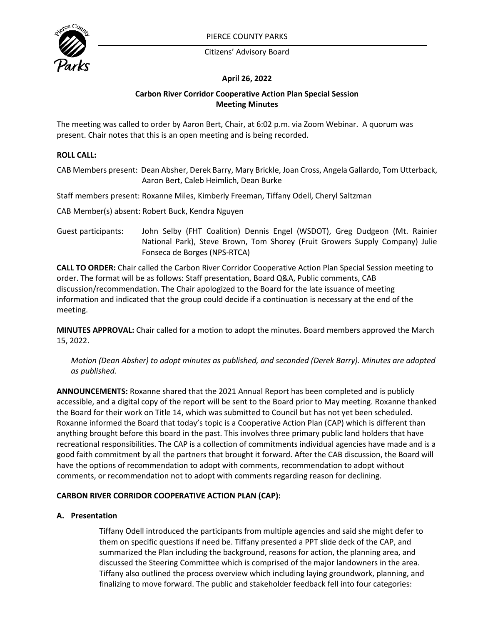

Citizens' Advisory Board

# **April 26, 2022**

## **Carbon River Corridor Cooperative Action Plan Special Session Meeting Minutes**

The meeting was called to order by Aaron Bert, Chair, at 6:02 p.m. via Zoom Webinar. A quorum was present. Chair notes that this is an open meeting and is being recorded.

## **ROLL CALL:**

CAB Members present: Dean Absher, Derek Barry, Mary Brickle, Joan Cross, Angela Gallardo, Tom Utterback, Aaron Bert, Caleb Heimlich, Dean Burke

Staff members present: Roxanne Miles, Kimberly Freeman, Tiffany Odell, Cheryl Saltzman

CAB Member(s) absent: Robert Buck, Kendra Nguyen

Guest participants: John Selby (FHT Coalition) Dennis Engel (WSDOT), Greg Dudgeon (Mt. Rainier National Park), Steve Brown, Tom Shorey (Fruit Growers Supply Company) Julie Fonseca de Borges (NPS-RTCA)

**CALL TO ORDER:** Chair called the Carbon River Corridor Cooperative Action Plan Special Session meeting to order. The format will be as follows: Staff presentation, Board Q&A, Public comments, CAB discussion/recommendation. The Chair apologized to the Board for the late issuance of meeting information and indicated that the group could decide if a continuation is necessary at the end of the meeting.

**MINUTES APPROVAL:** Chair called for a motion to adopt the minutes. Board members approved the March 15, 2022.

*Motion (Dean Absher) to adopt minutes as published, and seconded (Derek Barry). Minutes are adopted as published.*

**ANNOUNCEMENTS:** Roxanne shared that the 2021 Annual Report has been completed and is publicly accessible, and a digital copy of the report will be sent to the Board prior to May meeting. Roxanne thanked the Board for their work on Title 14, which was submitted to Council but has not yet been scheduled. Roxanne informed the Board that today's topic is a Cooperative Action Plan (CAP) which is different than anything brought before this board in the past. This involves three primary public land holders that have recreational responsibilities. The CAP is a collection of commitments individual agencies have made and is a good faith commitment by all the partners that brought it forward. After the CAB discussion, the Board will have the options of recommendation to adopt with comments, recommendation to adopt without comments, or recommendation not to adopt with comments regarding reason for declining.

# **CARBON RIVER CORRIDOR COOPERATIVE ACTION PLAN (CAP):**

# **A. Presentation**

Tiffany Odell introduced the participants from multiple agencies and said she might defer to them on specific questions if need be. Tiffany presented a PPT slide deck of the CAP, and summarized the Plan including the background, reasons for action, the planning area, and discussed the Steering Committee which is comprised of the major landowners in the area. Tiffany also outlined the process overview which including laying groundwork, planning, and finalizing to move forward. The public and stakeholder feedback fell into four categories: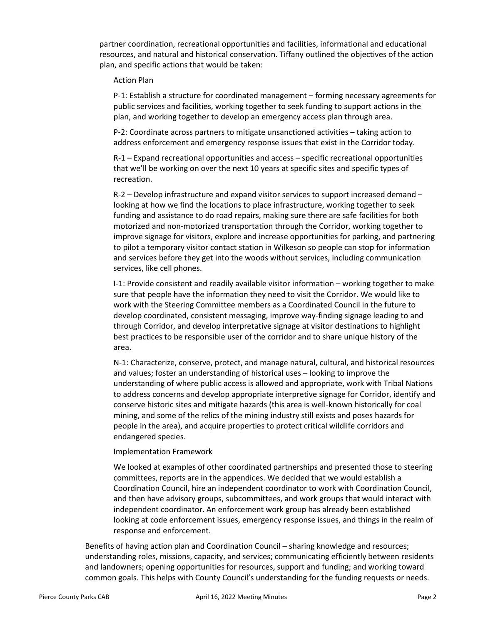partner coordination, recreational opportunities and facilities, informational and educational resources, and natural and historical conservation. Tiffany outlined the objectives of the action plan, and specific actions that would be taken:

#### Action Plan

P-1: Establish a structure for coordinated management – forming necessary agreements for public services and facilities, working together to seek funding to support actions in the plan, and working together to develop an emergency access plan through area.

P-2: Coordinate across partners to mitigate unsanctioned activities – taking action to address enforcement and emergency response issues that exist in the Corridor today.

R-1 – Expand recreational opportunities and access – specific recreational opportunities that we'll be working on over the next 10 years at specific sites and specific types of recreation.

R-2 – Develop infrastructure and expand visitor services to support increased demand – looking at how we find the locations to place infrastructure, working together to seek funding and assistance to do road repairs, making sure there are safe facilities for both motorized and non-motorized transportation through the Corridor, working together to improve signage for visitors, explore and increase opportunities for parking, and partnering to pilot a temporary visitor contact station in Wilkeson so people can stop for information and services before they get into the woods without services, including communication services, like cell phones.

I-1: Provide consistent and readily available visitor information – working together to make sure that people have the information they need to visit the Corridor. We would like to work with the Steering Committee members as a Coordinated Council in the future to develop coordinated, consistent messaging, improve way-finding signage leading to and through Corridor, and develop interpretative signage at visitor destinations to highlight best practices to be responsible user of the corridor and to share unique history of the area.

N-1: Characterize, conserve, protect, and manage natural, cultural, and historical resources and values; foster an understanding of historical uses – looking to improve the understanding of where public access is allowed and appropriate, work with Tribal Nations to address concerns and develop appropriate interpretive signage for Corridor, identify and conserve historic sites and mitigate hazards (this area is well-known historically for coal mining, and some of the relics of the mining industry still exists and poses hazards for people in the area), and acquire properties to protect critical wildlife corridors and endangered species.

# Implementation Framework

We looked at examples of other coordinated partnerships and presented those to steering committees, reports are in the appendices. We decided that we would establish a Coordination Council, hire an independent coordinator to work with Coordination Council, and then have advisory groups, subcommittees, and work groups that would interact with independent coordinator. An enforcement work group has already been established looking at code enforcement issues, emergency response issues, and things in the realm of response and enforcement.

Benefits of having action plan and Coordination Council – sharing knowledge and resources; understanding roles, missions, capacity, and services; communicating efficiently between residents and landowners; opening opportunities for resources, support and funding; and working toward common goals. This helps with County Council's understanding for the funding requests or needs.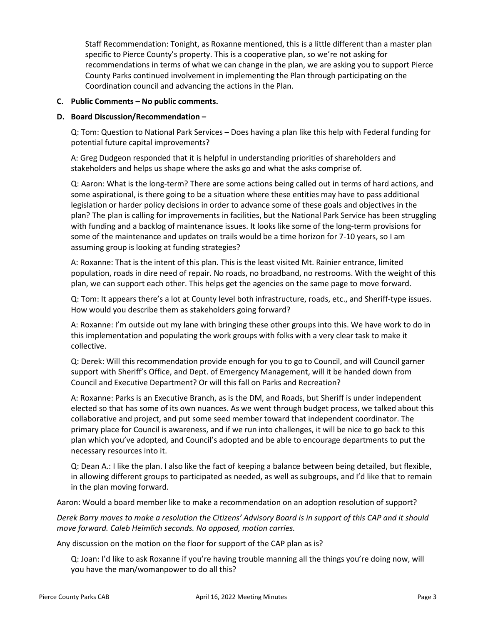Staff Recommendation: Tonight, as Roxanne mentioned, this is a little different than a master plan specific to Pierce County's property. This is a cooperative plan, so we're not asking for recommendations in terms of what we can change in the plan, we are asking you to support Pierce County Parks continued involvement in implementing the Plan through participating on the Coordination council and advancing the actions in the Plan.

#### **C. Public Comments – No public comments.**

#### **D. Board Discussion/Recommendation –**

Q: Tom: Question to National Park Services – Does having a plan like this help with Federal funding for potential future capital improvements?

A: Greg Dudgeon responded that it is helpful in understanding priorities of shareholders and stakeholders and helps us shape where the asks go and what the asks comprise of.

Q: Aaron: What is the long-term? There are some actions being called out in terms of hard actions, and some aspirational, is there going to be a situation where these entities may have to pass additional legislation or harder policy decisions in order to advance some of these goals and objectives in the plan? The plan is calling for improvements in facilities, but the National Park Service has been struggling with funding and a backlog of maintenance issues. It looks like some of the long-term provisions for some of the maintenance and updates on trails would be a time horizon for 7-10 years, so I am assuming group is looking at funding strategies?

A: Roxanne: That is the intent of this plan. This is the least visited Mt. Rainier entrance, limited population, roads in dire need of repair. No roads, no broadband, no restrooms. With the weight of this plan, we can support each other. This helps get the agencies on the same page to move forward.

Q: Tom: It appears there's a lot at County level both infrastructure, roads, etc., and Sheriff-type issues. How would you describe them as stakeholders going forward?

A: Roxanne: I'm outside out my lane with bringing these other groups into this. We have work to do in this implementation and populating the work groups with folks with a very clear task to make it collective.

Q: Derek: Will this recommendation provide enough for you to go to Council, and will Council garner support with Sheriff's Office, and Dept. of Emergency Management, will it be handed down from Council and Executive Department? Or will this fall on Parks and Recreation?

A: Roxanne: Parks is an Executive Branch, as is the DM, and Roads, but Sheriff is under independent elected so that has some of its own nuances. As we went through budget process, we talked about this collaborative and project, and put some seed member toward that independent coordinator. The primary place for Council is awareness, and if we run into challenges, it will be nice to go back to this plan which you've adopted, and Council's adopted and be able to encourage departments to put the necessary resources into it.

Q: Dean A.: I like the plan. I also like the fact of keeping a balance between being detailed, but flexible, in allowing different groups to participated as needed, as well as subgroups, and I'd like that to remain in the plan moving forward.

Aaron: Would a board member like to make a recommendation on an adoption resolution of support?

*Derek Barry moves to make a resolution the Citizens' Advisory Board is in support of this CAP and it should move forward. Caleb Heimlich seconds. No opposed, motion carries.*

Any discussion on the motion on the floor for support of the CAP plan as is?

Q: Joan: I'd like to ask Roxanne if you're having trouble manning all the things you're doing now, will you have the man/womanpower to do all this?